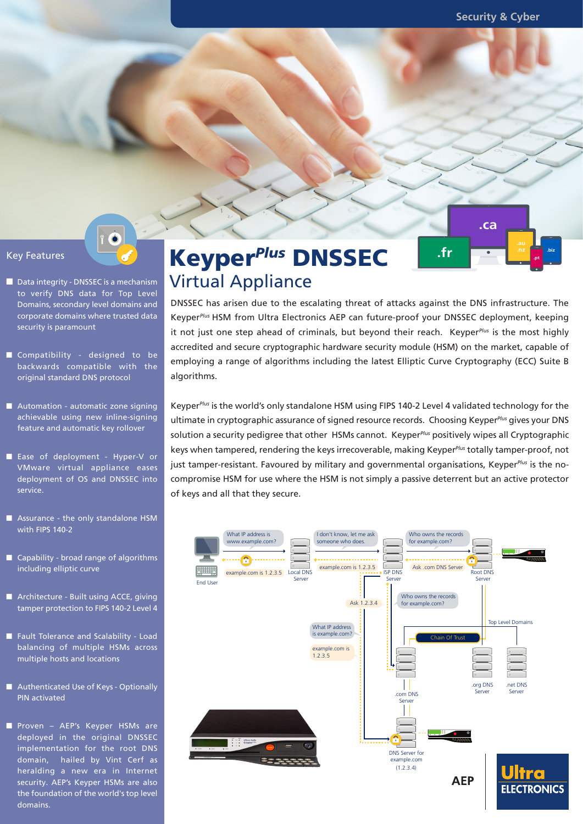**.ca** 

**.biz .pt**

- Data integrity DNSSEC is a mechanism to verify DNS data for Top Level Domains, secondary level domains and corporate domains where trusted data security is paramount
- Compatibility designed to be backwards compatible with the original standard DNS protocol
- Automation automatic zone signing achievable using new inline-signing feature and automatic key rollover
- Ease of deployment Hyper-V or VMware virtual appliance eases deployment of OS and DNSSEC into service.
- Assurance the only standalone HSM with FIPS 140-2
- $\Box$  Capability broad range of algorithms including elliptic curve
- Architecture Built using ACCE, giving tamper protection to FIPS 140-2 Level 4
- Fault Tolerance and Scalability Load balancing of multiple HSMs across multiple hosts and locations
- Authenticated Use of Keys Optionally PIN activated
- Proven AEP's Keyper HSMs are deployed in the original DNSSEC implementation for the root DNS domain, hailed by Vint Cerf as heralding a new era in Internet security. AEP's Keyper HSMs are also the foundation of the world's top level domains.

# **Key Features Constant Constant Constant Constant Constant Constant Constant Constant Constant Constant Constant Constant Constant Constant Constant Constant Constant Constant Constant Constant Constant Constant Constant** Virtual Appliance

DNSSEC has arisen due to the escalating threat of attacks against the DNS infrastructure. The Keyper*Plus* HSM from Ultra Electronics AEP can future-proof your DNSSEC deployment, keeping it not just one step ahead of criminals, but beyond their reach. Keyper*Plus* is the most highly accredited and secure cryptographic hardware security module (HSM) on the market, capable of employing a range of algorithms including the latest Elliptic Curve Cryptography (ECC) Suite B algorithms.

Keyper*Plus* is the world's only standalone HSM using FIPS 140-2 Level 4 validated technology for the ultimate in cryptographic assurance of signed resource records. Choosing Keyper*Plus* gives your DNS solution a security pedigree that other HSMs cannot. Keyper*Plus* positively wipes all Cryptographic keys when tampered, rendering the keys irrecoverable, making Keyper*Plus* totally tamper-proof, not just tamper-resistant. Favoured by military and governmental organisations, Keyper*Plus* is the nocompromise HSM for use where the HSM is not simply a passive deterrent but an active protector of keys and all that they secure.